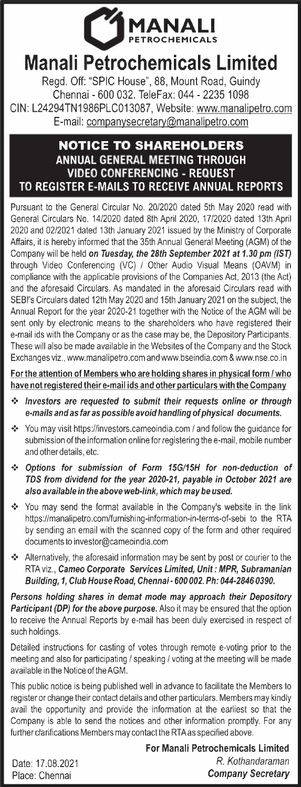

## **Manali Petrochemicals Limited**

Regd. Off: "SPIC House", 88, Mount Road, Guindy Chennai - 600 032. TeleFax: 044 - 22351098 CIN: L24294TN1986PLC013087, Website: www.manalipetro.com E-mail: companysecretary@manalipetro.com

## **NOTICE TO SHAREHOLDERS ANNUAL GENERAL MEETING THROUGH VIDEO CONFERENCING - REQUEST TO REGISTER E-MAILS TO RECEIVE ANNUAL REPORTS**

Pursuant to the General Circular No. 20/2020 dated 5th May 2020 read with General Circulars No. 14/2020 dated 8th April 2020, 17/2020 dated 13th April 2020 and 02/2021 dated 13th January 2021 issued by the Ministry of Corporate Affairs, it is hereby informed that the 35th Annual General Meeting (AGM) of the Company will be held *on Tuesday, the 28th September 2021 at 1.30 pm (1ST)*  through Video Conferencing (VC) / Other Audio Visual Means (OAVM) in compliance with the applicable provisions of the Companies Act, 2013 (the Act) and the aforesaid Circulars. As mandated in the aforesaid Circulars read with SEBl's Circulars dated 12th May 2020 and 15th January 2021 on the subject, the Annual Report for the year 2020-21 together with the Notice of the AGM will be sent only by electronic means to the shareholders who have registered their e-mail ids with the Company or as the case may be, the Depository Participants. These will also be made available in the Websites of the Company and the Stock Exchanges viz., www.manalipetro.com and www.bseindia.com & www.nse.co.in

**For the attention of Members who are holding shares in physical form /who have not registered their e-mail ids and other particulars with the Company** 

- •!• *Investors are requested to submit their requests online or through e-mails and* **as** *far* **as** *possible avoid handling of physical documents.*
- •!• You may visit https://investors.cameoindia.com / and follow the guidance for submission of the information online for registering the e-mail, mobile number and other details, etc.
- •!• *Options for submission of Form 15G/15H for non-deduction of*  **TDS** *from dividend for the year 2020-21, payable in October 2021 are also available in the above web-link, which may be used.*
- You may send the format available in the Company's website in the link https://manalipetro.com/furnishing-information-in-terms-of-sebi to the RTA by sending an email with the scanned copy of the form and other required documents to investor@cameoindia.com
- Alternatively, the aforesaid information may be sent by post or courier to the RTA viz., **Cameo** *Corporate Services Limited, Unit: MPR, Subramanian Building, 1, Club House Road, Chennai- 600 002. Ph: 044-2846 0390.*

*Persons holding shares in demat mode may approach their Depository Participant (DP) for the above purpose.* Also it may be ensured that the option to receive the Annual Reports by e-mail has been duly exercised in respect of such holdings.

Detailed instructions for casting of votes through remote e-voting prior to the meeting and also for participating/ speaking/ voting at the meeting will be made available in the Notice of the AGM.

This public notice is being published well in advance to facilitate the Members to register or change their contact details and other particulars. Members may kindly avail the opportunity and provide the information at the earliest so that the Company is able to send the notices and other information promptly. For any further clarifications Members may contact the RTAas specified above.

**For Manali Petrochemicals Limited**  Date: 17.08.2021 *R. Kothandaraman*  Place: Chennai *Company Secretary*